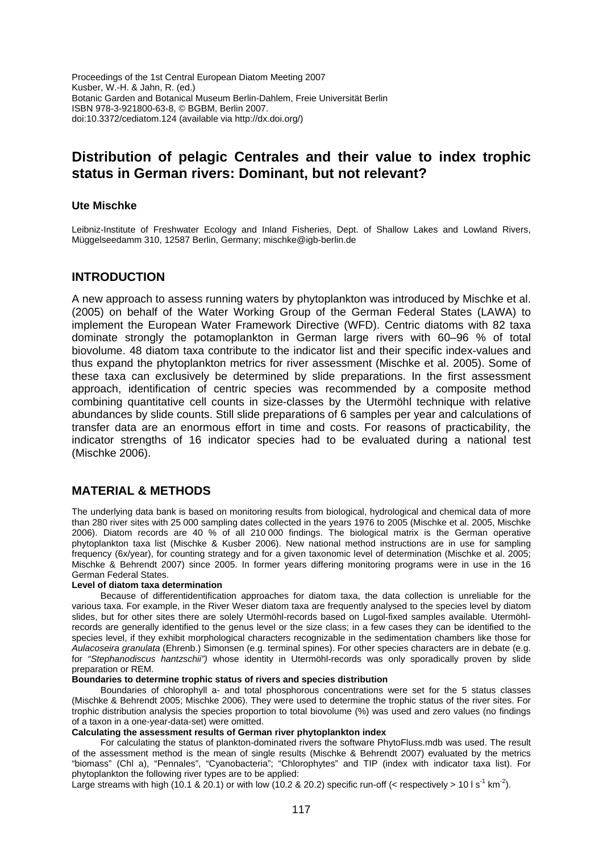Proceedings of the 1st Central European Diatom Meeting 2007 Kusber, W.-H. & Jahn, R. (ed.) Botanic Garden and Botanical Museum Berlin-Dahlem, Freie Universität Berlin ISBN 978-3-921800-63-8, © BGBM, Berlin 2007. doi:10.3372/cediatom.124 (available via http://dx.doi.org/)

# **Distribution of pelagic Centrales and their value to index trophic status in German rivers: Dominant, but not relevant?**

# **Ute Mischke**

Leibniz-Institute of Freshwater Ecology and Inland Fisheries, Dept. of Shallow Lakes and Lowland Rivers, Müggelseedamm 310, 12587 Berlin, Germany; mischke@igb-berlin.de

# **INTRODUCTION**

A new approach to assess running waters by phytoplankton was introduced by Mischke et al. (2005) on behalf of the Water Working Group of the German Federal States (LAWA) to implement the European Water Framework Directive (WFD). Centric diatoms with 82 taxa dominate strongly the potamoplankton in German large rivers with 60–96 % of total biovolume. 48 diatom taxa contribute to the indicator list and their specific index-values and thus expand the phytoplankton metrics for river assessment (Mischke et al. 2005). Some of these taxa can exclusively be determined by slide preparations. In the first assessment approach, identification of centric species was recommended by a composite method combining quantitative cell counts in size-classes by the Utermöhl technique with relative abundances by slide counts. Still slide preparations of 6 samples per year and calculations of transfer data are an enormous effort in time and costs. For reasons of practicability, the indicator strengths of 16 indicator species had to be evaluated during a national test (Mischke 2006).

# **MATERIAL & METHODS**

The underlying data bank is based on monitoring results from biological, hydrological and chemical data of more than 280 river sites with 25 000 sampling dates collected in the years 1976 to 2005 (Mischke et al. 2005, Mischke 2006). Diatom records are 40 % of all 210 000 findings. The biological matrix is the German operative phytoplankton taxa list (Mischke & Kusber 2006). New national method instructions are in use for sampling frequency (6x/year), for counting strategy and for a given taxonomic level of determination (Mischke et al. 2005; Mischke & Behrendt 2007) since 2005. In former years differing monitoring programs were in use in the 16 German Federal States.

#### **Level of diatom taxa determination**

Because of differentidentification approaches for diatom taxa, the data collection is unreliable for the various taxa. For example, in the River Weser diatom taxa are frequently analysed to the species level by diatom slides, but for other sites there are solely Utermöhl-records based on Lugol-fixed samples available. Utermöhlrecords are generally identified to the genus level or the size class; in a few cases they can be identified to the species level, if they exhibit morphological characters recognizable in the sedimentation chambers like those for *Aulacoseira granulata* (Ehrenb.) Simonsen (e.g. terminal spines). For other species characters are in debate (e.g. for *"Stephanodiscus hantzschii")* whose identity in Utermöhl-records was only sporadically proven by slide preparation or REM.

#### **Boundaries to determine trophic status of rivers and species distribution**

Boundaries of chlorophyll a- and total phosphorous concentrations were set for the 5 status classes (Mischke & Behrendt 2005; Mischke 2006). They were used to determine the trophic status of the river sites. For trophic distribution analysis the species proportion to total biovolume (%) was used and zero values (no findings of a taxon in a one-year-data-set) were omitted.

#### **Calculating the assessment results of German river phytoplankton index**

For calculating the status of plankton-dominated rivers the software PhytoFluss.mdb was used. The result of the assessment method is the mean of single results (Mischke & Behrendt 2007) evaluated by the metrics "biomass" (Chl a), "Pennales", "Cyanobacteria"; "Chlorophytes" and TIP (index with indicator taxa list). For phytoplankton the following river types are to be applied:

Large streams with high (10.1 & 20.1) or with low (10.2 & 20.2) specific run-off (< respectively > 10 l s<sup>-1</sup> km<sup>-2</sup>).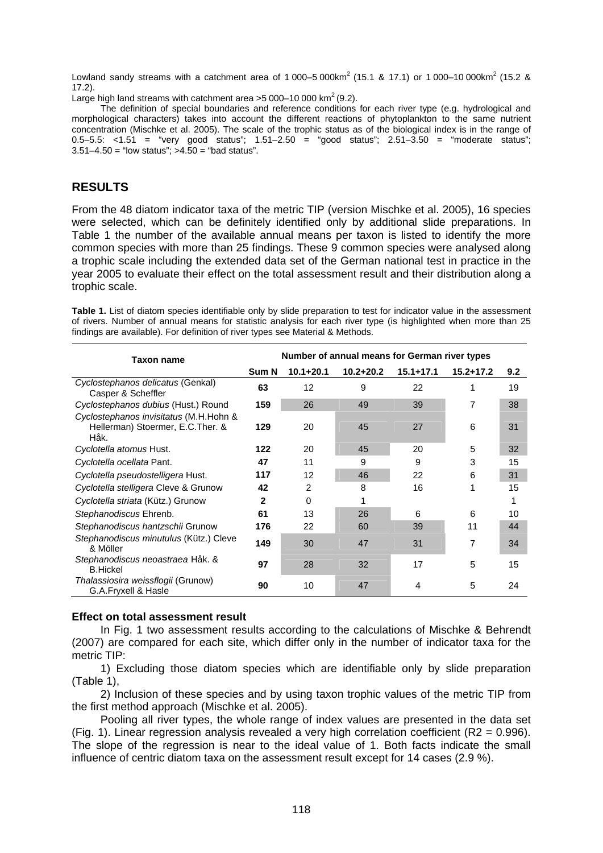Lowland sandy streams with a catchment area of 1 000–5 000 km<sup>2</sup> (15.1 & 17.1) or 1 000–10 000 km<sup>2</sup> (15.2 & 17.2).

Large high land streams with catchment area  $>5000-10000$  km<sup>2</sup> (9.2).

The definition of special boundaries and reference conditions for each river type (e.g. hydrological and morphological characters) takes into account the different reactions of phytoplankton to the same nutrient concentration (Mischke et al. 2005). The scale of the trophic status as of the biological index is in the range of 0.5–5.5: <1.51 = "very good status"; 1.51–2.50 = "good status"; 2.51–3.50 = "moderate status";  $3.51 - 4.50 =$  "low status";  $>4.50 =$  "bad status".

# **RESULTS**

From the 48 diatom indicator taxa of the metric TIP (version Mischke et al. 2005), 16 species were selected, which can be definitely identified only by additional slide preparations. In Table 1 the number of the available annual means per taxon is listed to identify the more common species with more than 25 findings. These 9 common species were analysed along a trophic scale including the extended data set of the German national test in practice in the year 2005 to evaluate their effect on the total assessment result and their distribution along a trophic scale.

| <b>Taxon name</b>                                                                   | Number of annual means for German river types |               |               |               |               |     |  |  |
|-------------------------------------------------------------------------------------|-----------------------------------------------|---------------|---------------|---------------|---------------|-----|--|--|
|                                                                                     | Sum N                                         | $10.1 + 20.1$ | $10.2 + 20.2$ | $15.1 + 17.1$ | $15.2 + 17.2$ | 9.2 |  |  |
| Cyclostephanos delicatus (Genkal)<br>Casper & Scheffler                             | 63                                            | 12            | 9             | 22            | 1             | 19  |  |  |
| Cyclostephanos dubius (Hust.) Round                                                 | 159                                           | 26            | 49            | 39            | 7             | 38  |  |  |
| Cyclostephanos invisitatus (M.H.Hohn &<br>Hellerman) Stoermer, E.C. Ther. &<br>Håk. | 129                                           | 20            | 45            | 27            | 6             | 31  |  |  |
| Cyclotella atomus Hust.                                                             | 122                                           | 20            | 45            | 20            | 5             | 32  |  |  |
| Cyclotella ocellata Pant.                                                           | 47                                            | 11            | 9             | 9             | 3             | 15  |  |  |
| Cyclotella pseudostelligera Hust.                                                   | 117                                           | 12            | 46            | 22            | 6             | 31  |  |  |
| Cyclotella stelligera Cleve & Grunow                                                | 42                                            | 2             | 8             | 16            | 1             | 15  |  |  |
| Cyclotella striata (Kütz.) Grunow                                                   | 2                                             | $\Omega$      |               |               |               |     |  |  |
| Stephanodiscus Ehrenb.                                                              | 61                                            | 13            | 26            | 6             | 6             | 10  |  |  |
| Stephanodiscus hantzschii Grunow                                                    | 176                                           | 22            | 60            | 39            | 11            | 44  |  |  |
| Stephanodiscus minutulus (Kütz.) Cleve<br>& Möller                                  | 149                                           | 30            | 47            | 31            | 7             | 34  |  |  |
| Stephanodiscus neoastraea Håk. &<br><b>B.Hickel</b>                                 | 97                                            | 28            | 32            | 17            | 5             | 15  |  |  |
| Thalassiosira weissflogii (Grunow)<br>G.A.Fryxell & Hasle                           | 90                                            | 10            | 47            | 4             | 5             | 24  |  |  |

**Table 1.** List of diatom species identifiable only by slide preparation to test for indicator value in the assessment of rivers. Number of annual means for statistic analysis for each river type (is highlighted when more than 25 findings are available). For definition of river types see Material & Methods.

# **Effect on total assessment result**

In Fig. 1 two assessment results according to the calculations of Mischke & Behrendt (2007) are compared for each site, which differ only in the number of indicator taxa for the metric TIP:

1) Excluding those diatom species which are identifiable only by slide preparation (Table 1),

2) Inclusion of these species and by using taxon trophic values of the metric TIP from the first method approach (Mischke et al. 2005).

Pooling all river types, the whole range of index values are presented in the data set (Fig. 1). Linear regression analysis revealed a very high correlation coefficient (R2 = 0.996). The slope of the regression is near to the ideal value of 1. Both facts indicate the small influence of centric diatom taxa on the assessment result except for 14 cases (2.9 %).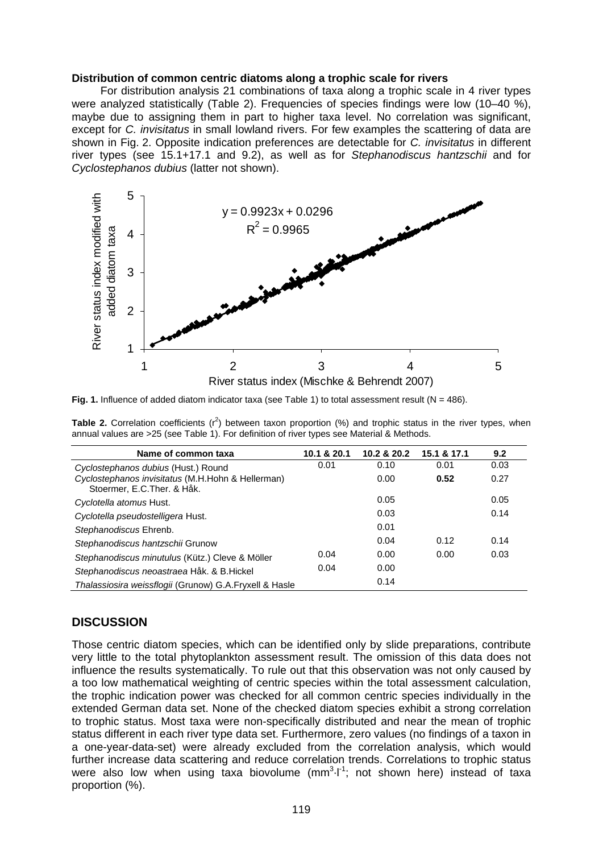### **Distribution of common centric diatoms along a trophic scale for rivers**

For distribution analysis 21 combinations of taxa along a trophic scale in 4 river types were analyzed statistically (Table 2). Frequencies of species findings were low (10–40 %), maybe due to assigning them in part to higher taxa level. No correlation was significant, except for *C. invisitatus* in small lowland rivers. For few examples the scattering of data are shown in Fig. 2. Opposite indication preferences are detectable for *C. invisitatus* in different river types (see 15.1+17.1 and 9.2), as well as for *Stephanodiscus hantzschii* and for *Cyclostephanos dubius* (latter not shown).



**Fig. 1.** Influence of added diatom indicator taxa (see Table 1) to total assessment result ( $N = 486$ ).

**Table 2.** Correlation coefficients  $(r^2)$  between taxon proportion (%) and trophic status in the river types, when annual values are >25 (see Table 1). For definition of river types see Material & Methods.

| Name of common taxa                                                              | 10.1 & 20.1 | 10.2 & 20.2 | 15.1 & 17.1 | 9.2  |
|----------------------------------------------------------------------------------|-------------|-------------|-------------|------|
| Cyclostephanos dubius (Hust.) Round                                              | 0.01        | 0.10        | 0.01        | 0.03 |
| Cyclostephanos invisitatus (M.H.Hohn & Hellerman)<br>Stoermer, E.C. Ther. & Håk. |             | 0.00        | 0.52        | 0.27 |
| Cyclotella atomus Hust.                                                          |             | 0.05        |             | 0.05 |
| Cyclotella pseudostelligera Hust.                                                |             | 0.03        |             | 0.14 |
| Stephanodiscus Ehrenb.                                                           |             | 0.01        |             |      |
| Stephanodiscus hantzschii Grunow                                                 |             | 0.04        | 0.12        | 0.14 |
| Stephanodiscus minutulus (Kütz.) Cleve & Möller                                  | 0.04        | 0.00        | 0.00        | 0.03 |
| Stephanodiscus neoastraea Håk. & B. Hickel                                       | 0.04        | 0.00        |             |      |
| Thalassiosira weissflogii (Grunow) G.A.Fryxell & Hasle                           |             | 0.14        |             |      |

# **DISCUSSION**

Those centric diatom species, which can be identified only by slide preparations, contribute very little to the total phytoplankton assessment result. The omission of this data does not influence the results systematically. To rule out that this observation was not only caused by a too low mathematical weighting of centric species within the total assessment calculation, the trophic indication power was checked for all common centric species individually in the extended German data set. None of the checked diatom species exhibit a strong correlation to trophic status. Most taxa were non-specifically distributed and near the mean of trophic status different in each river type data set. Furthermore, zero values (no findings of a taxon in a one-year-data-set) were already excluded from the correlation analysis, which would further increase data scattering and reduce correlation trends. Correlations to trophic status were also low when using taxa biovolume  $(mm<sup>3</sup>-l<sup>-1</sup>)$ ; not shown here) instead of taxa proportion (%).